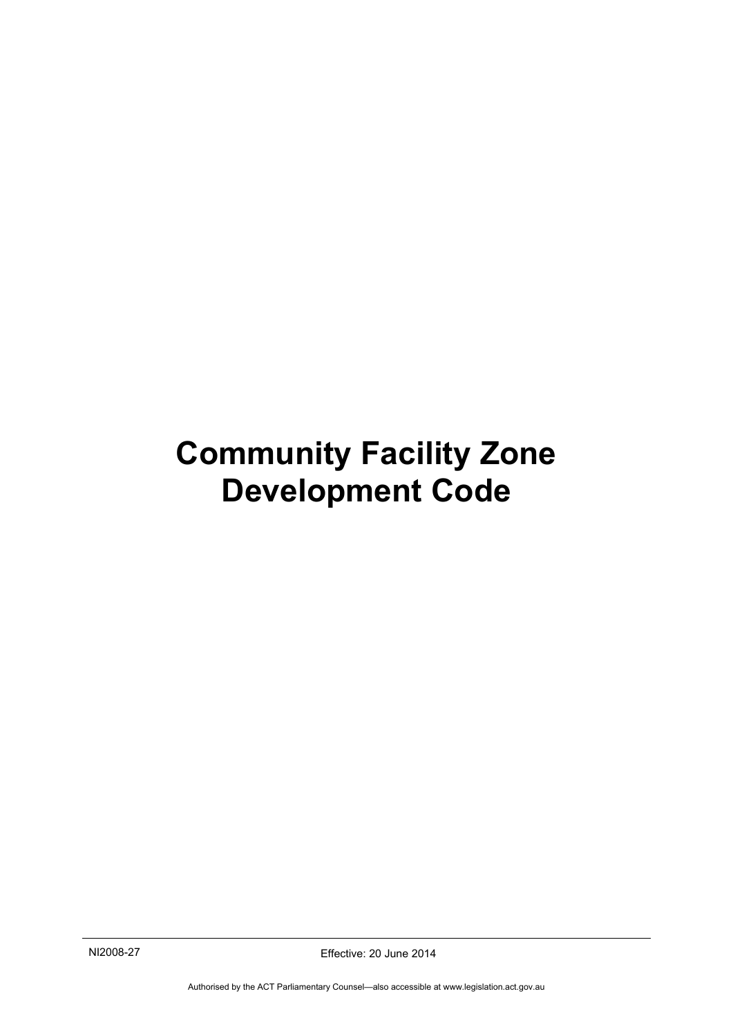# <span id="page-0-0"></span>**Community Facility Zone Development Code**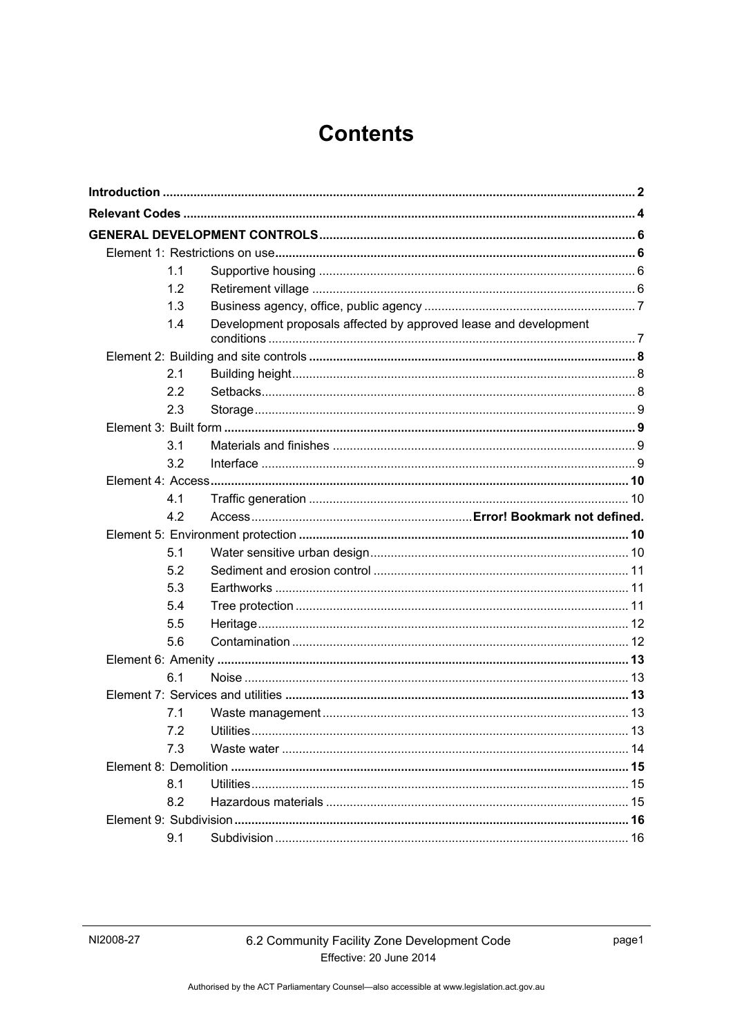# **Contents**

| 1.1 |                                                                  |  |
|-----|------------------------------------------------------------------|--|
| 1.2 |                                                                  |  |
| 1.3 |                                                                  |  |
| 1.4 | Development proposals affected by approved lease and development |  |
|     |                                                                  |  |
| 2.1 |                                                                  |  |
| 2.2 |                                                                  |  |
| 2.3 |                                                                  |  |
|     |                                                                  |  |
| 3.1 |                                                                  |  |
| 3.2 |                                                                  |  |
|     |                                                                  |  |
| 4.1 |                                                                  |  |
| 4.2 |                                                                  |  |
|     |                                                                  |  |
|     |                                                                  |  |
| 5.1 |                                                                  |  |
| 5.2 |                                                                  |  |
| 5.3 |                                                                  |  |
| 5.4 |                                                                  |  |
| 5.5 |                                                                  |  |
| 5.6 |                                                                  |  |
|     |                                                                  |  |
| 6.1 |                                                                  |  |
|     |                                                                  |  |
| 7.1 |                                                                  |  |
| 7.2 |                                                                  |  |
| 7.3 |                                                                  |  |
|     |                                                                  |  |
| 8.1 |                                                                  |  |
| 8.2 |                                                                  |  |
|     |                                                                  |  |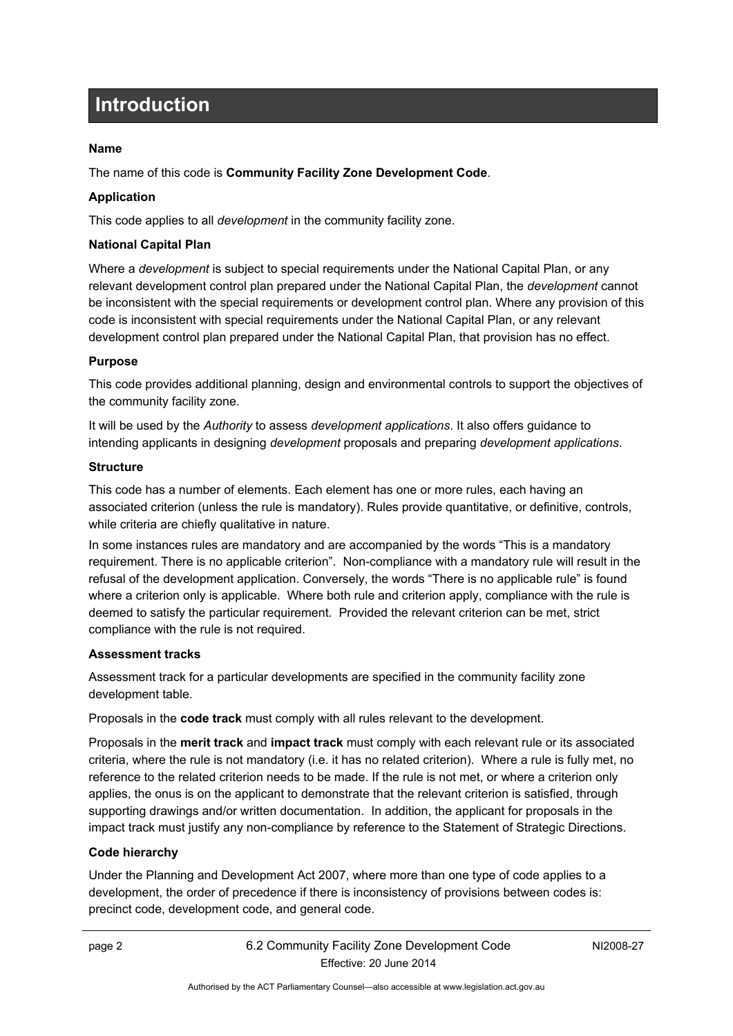# <span id="page-3-0"></span>**Introduction**

### **Name**

The name of this code is **Community Facility Zone Development Code**.

### **Application**

This code applies to all *development* in the community facility zone.

### **National Capital Plan**

Where a *development* is subject to special requirements under the National Capital Plan, or any relevant development control plan prepared under the National Capital Plan, the *development* cannot be inconsistent with the special requirements or development control plan. Where any provision of this code is inconsistent with special requirements under the National Capital Plan, or any relevant development control plan prepared under the National Capital Plan, that provision has no effect.

### **Purpose**

This code provides additional planning, design and environmental controls to support the objectives of the community facility zone.

It will be used by the *Authority* to assess *development applications*. It also offers guidance to intending applicants in designing *development* proposals and preparing *development applications*.

### **Structure**

This code has a number of elements. Each element has one or more rules, each having an associated criterion (unless the rule is mandatory). Rules provide quantitative, or definitive, controls, while criteria are chiefly qualitative in nature.

In some instances rules are mandatory and are accompanied by the words "This is a mandatory requirement. There is no applicable criterion". Non-compliance with a mandatory rule will result in the refusal of the development application. Conversely, the words "There is no applicable rule" is found where a criterion only is applicable. Where both rule and criterion apply, compliance with the rule is deemed to satisfy the particular requirement. Provided the relevant criterion can be met, strict compliance with the rule is not required.

### **Assessment tracks**

Assessment track for a particular developments are specified in the community facility zone development table.

Proposals in the **code track** must comply with all rules relevant to the development.

Proposals in the **merit track** and **impact track** must comply with each relevant rule or its associated criteria, where the rule is not mandatory (i.e. it has no related criterion). Where a rule is fully met, no reference to the related criterion needs to be made. If the rule is not met, or where a criterion only applies, the onus is on the applicant to demonstrate that the relevant criterion is satisfied, through supporting drawings and/or written documentation. In addition, the applicant for proposals in the impact track must justify any non-compliance by reference to the Statement of Strategic Directions.

### **Code hierarchy**

Under the Planning and Development Act 2007, where more than one type of code applies to a development, the order of precedence if there is inconsistency of provisions between codes is: precinct code, development code, and general code.

NI2008-27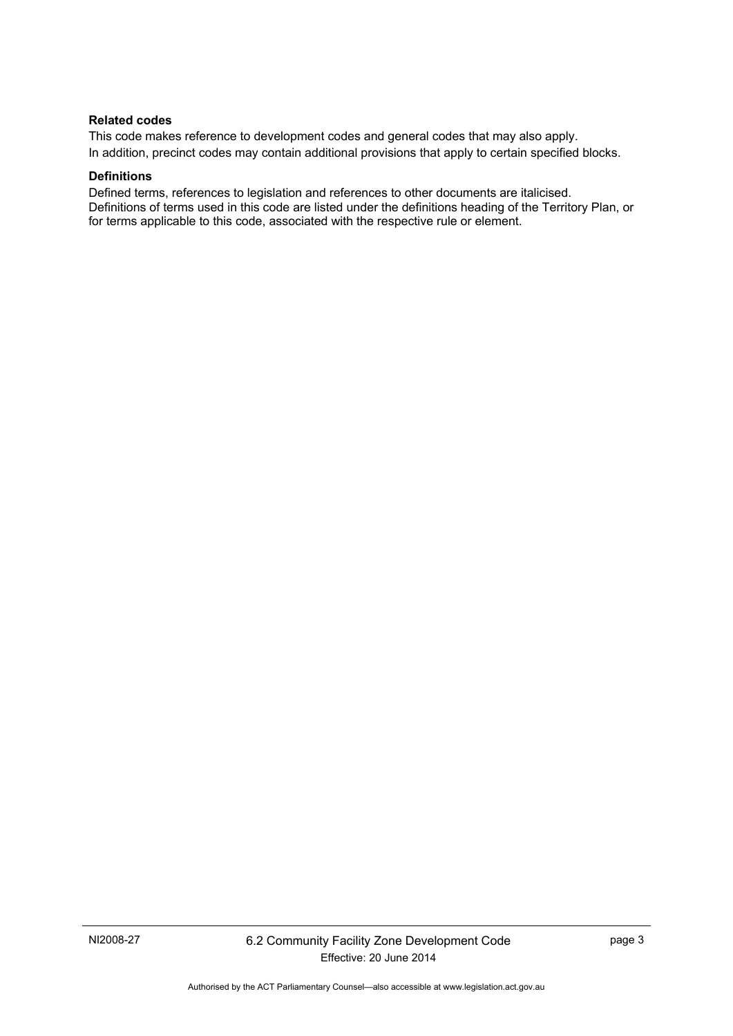#### **Related codes**

This code makes reference to development codes and general codes that may also apply. In addition, precinct codes may contain additional provisions that apply to certain specified blocks.

#### **Definitions**

Defined terms, references to legislation and references to other documents are italicised. Definitions of terms used in this code are listed under the definitions heading of the Territory Plan, or for terms applicable to this code, associated with the respective rule or element.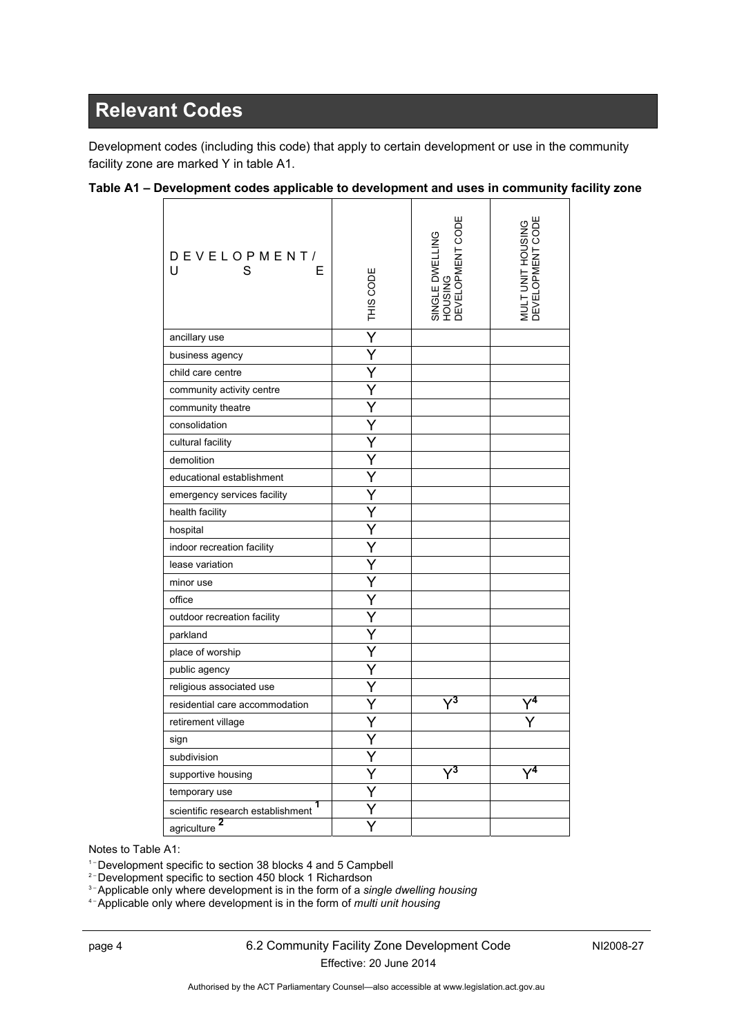# <span id="page-5-0"></span>**Relevant Codes**

Development codes (including this code) that apply to certain development or use in the community facility zone are marked Y in table A1.

| DEVELOPMENT/<br>U<br>S<br>Е            | THIS CODE | SINGLE DWELLING<br>HOUSING<br>DEVELOPMENT CODE | MULT UNIT HOUSING<br>DEVELOPMENT CODE |
|----------------------------------------|-----------|------------------------------------------------|---------------------------------------|
| ancillary use                          | Ý         |                                                |                                       |
| business agency                        | Ÿ         |                                                |                                       |
| child care centre                      | Y         |                                                |                                       |
| community activity centre              | Y         |                                                |                                       |
| community theatre                      | Y         |                                                |                                       |
| consolidation                          | Y         |                                                |                                       |
| cultural facility                      | Y         |                                                |                                       |
| demolition                             | Ý         |                                                |                                       |
| educational establishment              | Ý         |                                                |                                       |
| emergency services facility            | Ÿ         |                                                |                                       |
| health facility                        | Ý         |                                                |                                       |
| hospital                               | Ý         |                                                |                                       |
| indoor recreation facility             | Y         |                                                |                                       |
| lease variation                        | Y         |                                                |                                       |
| minor use                              |           |                                                |                                       |
| office                                 | Y         |                                                |                                       |
| outdoor recreation facility            | Y         |                                                |                                       |
| parkland                               | Y         |                                                |                                       |
| place of worship                       | Y         |                                                |                                       |
| public agency                          | Y         |                                                |                                       |
| religious associated use               | Y         |                                                |                                       |
| residential care accommodation         | Y         |                                                |                                       |
| retirement village                     | Y         |                                                |                                       |
| sign                                   | Y         |                                                |                                       |
| subdivision                            | Y         |                                                |                                       |
| supportive housing                     | Ý         | $\sqrt{3}$                                     |                                       |
| temporary use                          | Y         |                                                |                                       |
| 1<br>scientific research establishment | Y         |                                                |                                       |
| 2<br>agriculture                       |           |                                                |                                       |

### **Table A1 – Development codes applicable to development and uses in community facility zone**

Notes to Table A1:

<sup>1-</sup> Development specific to section 38 blocks 4 and 5 Campbell<br><sup>2-</sup> Development specific to section 450 block 1 Richardson<br><sup>3-</sup> Applicable only where development is in the form of a *single dwelling housing* 

4 – Applicable only where development is in the form of *multi unit housing*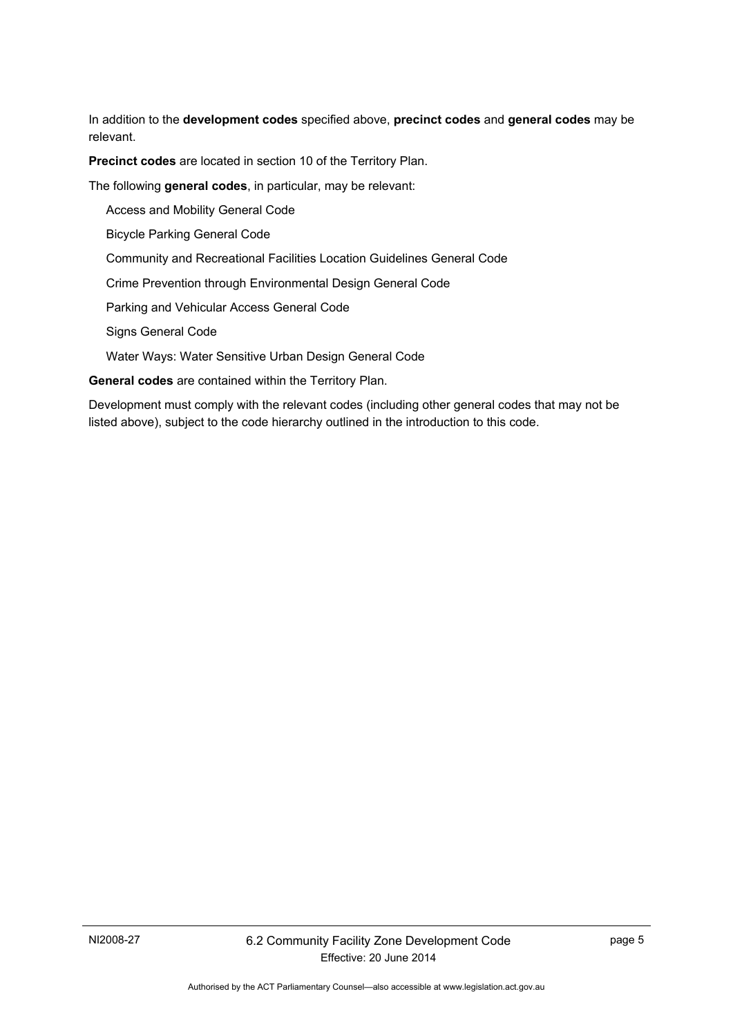In addition to the **development codes** specified above, **precinct codes** and **general codes** may be relevant.

**Precinct codes** are located in section 10 of the Territory Plan.

The following **general codes**, in particular, may be relevant:

Access and Mobility General Code

Bicycle Parking General Code

Community and Recreational Facilities Location Guidelines General Code

Crime Prevention through Environmental Design General Code

Parking and Vehicular Access General Code

Signs General Code

Water Ways: Water Sensitive Urban Design General Code

**General codes** are contained within the Territory Plan.

Development must comply with the relevant codes (including other general codes that may not be listed above), subject to the code hierarchy outlined in the introduction to this code.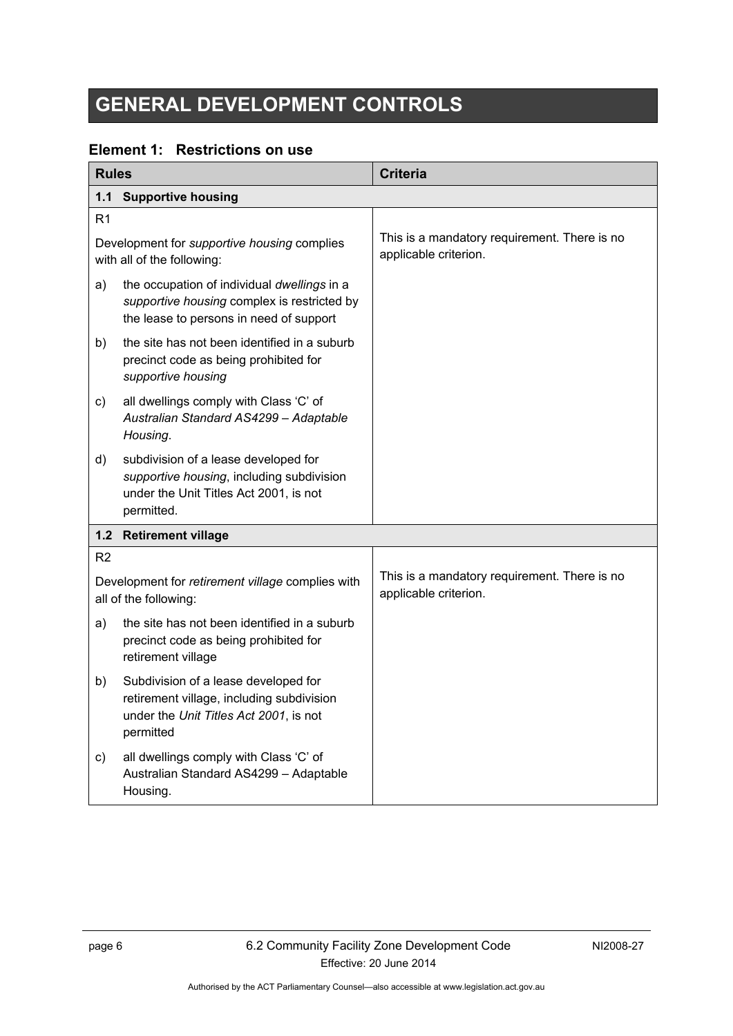# <span id="page-7-0"></span>**GENERAL DEVELOPMENT CONTROLS**

### <span id="page-7-1"></span>**Element 1: Restrictions on use**

<span id="page-7-3"></span><span id="page-7-2"></span>

| <b>Rules</b>                                                                     |                                                                                                                                           | <b>Criteria</b>                                                       |
|----------------------------------------------------------------------------------|-------------------------------------------------------------------------------------------------------------------------------------------|-----------------------------------------------------------------------|
| <b>Supportive housing</b><br>1.1                                                 |                                                                                                                                           |                                                                       |
| R <sub>1</sub>                                                                   |                                                                                                                                           |                                                                       |
| Development for <i>supportive housing</i> complies<br>with all of the following: |                                                                                                                                           | This is a mandatory requirement. There is no<br>applicable criterion. |
| a)                                                                               | the occupation of individual dwellings in a<br>supportive housing complex is restricted by<br>the lease to persons in need of support     |                                                                       |
| b)                                                                               | the site has not been identified in a suburb<br>precinct code as being prohibited for<br>supportive housing                               |                                                                       |
| C)                                                                               | all dwellings comply with Class 'C' of<br>Australian Standard AS4299 - Adaptable<br>Housing.                                              |                                                                       |
| d)                                                                               | subdivision of a lease developed for<br>supportive housing, including subdivision<br>under the Unit Titles Act 2001, is not<br>permitted. |                                                                       |
| $1.2$                                                                            | <b>Retirement village</b>                                                                                                                 |                                                                       |
| R <sub>2</sub>                                                                   |                                                                                                                                           |                                                                       |
|                                                                                  | Development for retirement village complies with<br>all of the following:                                                                 | This is a mandatory requirement. There is no<br>applicable criterion. |
| a)                                                                               | the site has not been identified in a suburb<br>precinct code as being prohibited for<br>retirement village                               |                                                                       |
| b)                                                                               | Subdivision of a lease developed for<br>retirement village, including subdivision<br>under the Unit Titles Act 2001, is not<br>permitted  |                                                                       |
| c)                                                                               | all dwellings comply with Class 'C' of<br>Australian Standard AS4299 - Adaptable<br>Housing.                                              |                                                                       |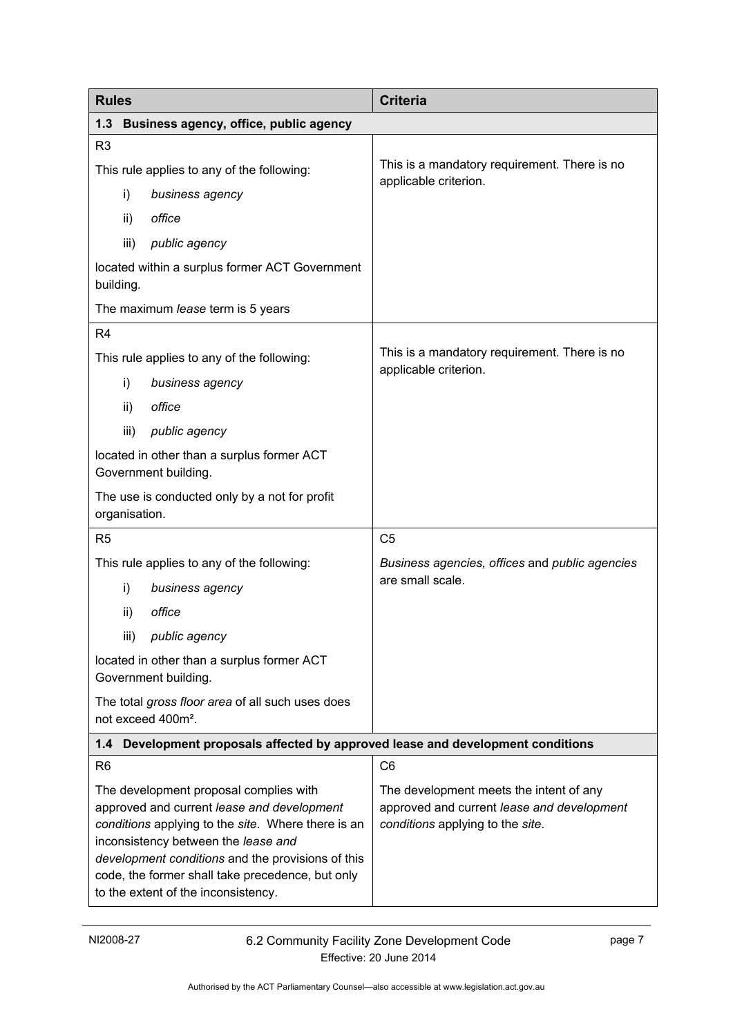<span id="page-8-1"></span><span id="page-8-0"></span>

| <b>Rules</b>                                                                                                                                                                                                                                                                                                                      | <b>Criteria</b>                                                                                                           |  |
|-----------------------------------------------------------------------------------------------------------------------------------------------------------------------------------------------------------------------------------------------------------------------------------------------------------------------------------|---------------------------------------------------------------------------------------------------------------------------|--|
| 1.3<br>Business agency, office, public agency                                                                                                                                                                                                                                                                                     |                                                                                                                           |  |
| R <sub>3</sub>                                                                                                                                                                                                                                                                                                                    |                                                                                                                           |  |
| This rule applies to any of the following:                                                                                                                                                                                                                                                                                        | This is a mandatory requirement. There is no<br>applicable criterion.                                                     |  |
| i)<br>business agency                                                                                                                                                                                                                                                                                                             |                                                                                                                           |  |
| office<br>ii)                                                                                                                                                                                                                                                                                                                     |                                                                                                                           |  |
| iii)<br>public agency                                                                                                                                                                                                                                                                                                             |                                                                                                                           |  |
| located within a surplus former ACT Government<br>building.                                                                                                                                                                                                                                                                       |                                                                                                                           |  |
| The maximum lease term is 5 years                                                                                                                                                                                                                                                                                                 |                                                                                                                           |  |
| R <sub>4</sub>                                                                                                                                                                                                                                                                                                                    |                                                                                                                           |  |
| This rule applies to any of the following:                                                                                                                                                                                                                                                                                        | This is a mandatory requirement. There is no<br>applicable criterion.                                                     |  |
| i)<br>business agency                                                                                                                                                                                                                                                                                                             |                                                                                                                           |  |
| office<br>ii)                                                                                                                                                                                                                                                                                                                     |                                                                                                                           |  |
| iii)<br>public agency                                                                                                                                                                                                                                                                                                             |                                                                                                                           |  |
| located in other than a surplus former ACT<br>Government building.                                                                                                                                                                                                                                                                |                                                                                                                           |  |
| The use is conducted only by a not for profit<br>organisation.                                                                                                                                                                                                                                                                    |                                                                                                                           |  |
| R <sub>5</sub>                                                                                                                                                                                                                                                                                                                    | C <sub>5</sub>                                                                                                            |  |
| This rule applies to any of the following:                                                                                                                                                                                                                                                                                        | Business agencies, offices and public agencies                                                                            |  |
| i)<br>business agency                                                                                                                                                                                                                                                                                                             | are small scale.                                                                                                          |  |
| office<br>ii)                                                                                                                                                                                                                                                                                                                     |                                                                                                                           |  |
| public agency<br>iii)                                                                                                                                                                                                                                                                                                             |                                                                                                                           |  |
| located in other than a surplus former ACT<br>Government building.                                                                                                                                                                                                                                                                |                                                                                                                           |  |
| The total gross floor area of all such uses does<br>not exceed 400m <sup>2</sup> .                                                                                                                                                                                                                                                |                                                                                                                           |  |
| Development proposals affected by approved lease and development conditions<br>1.4                                                                                                                                                                                                                                                |                                                                                                                           |  |
| R <sub>6</sub>                                                                                                                                                                                                                                                                                                                    | C <sub>6</sub>                                                                                                            |  |
| The development proposal complies with<br>approved and current lease and development<br>conditions applying to the site. Where there is an<br>inconsistency between the lease and<br>development conditions and the provisions of this<br>code, the former shall take precedence, but only<br>to the extent of the inconsistency. | The development meets the intent of any<br>approved and current lease and development<br>conditions applying to the site. |  |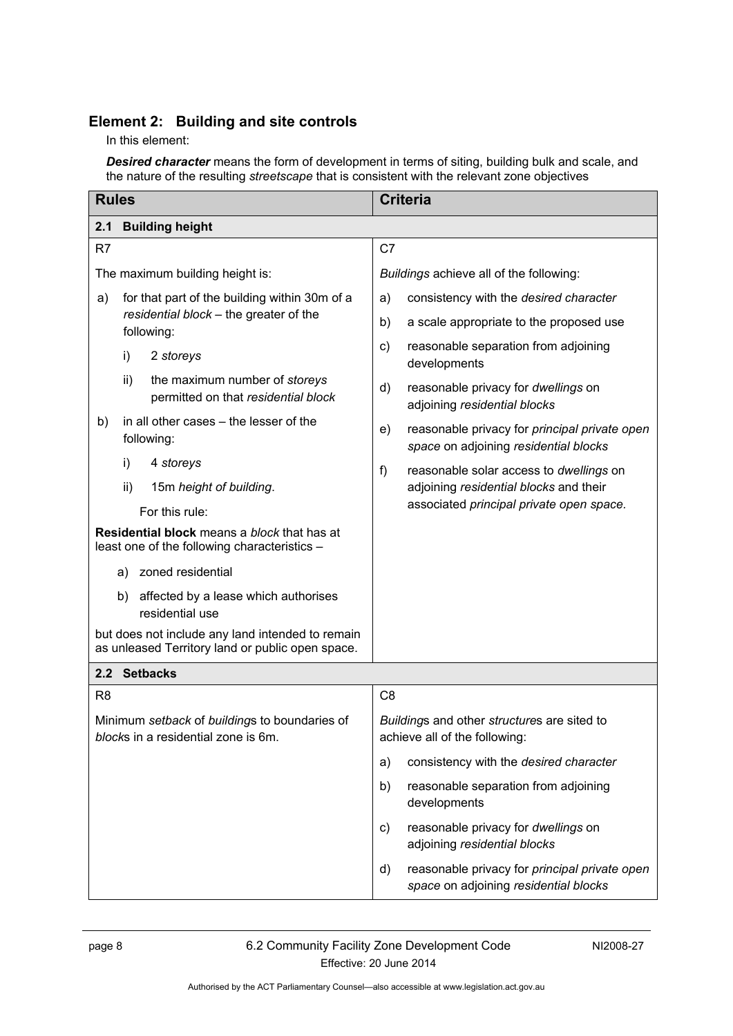### <span id="page-9-0"></span>**Element 2: Building and site controls**

In this element:

*Desired character* means the form of development in terms of siting, building bulk and scale, and the nature of the resulting *streetscape* that is consistent with the relevant zone objectives

<span id="page-9-2"></span><span id="page-9-1"></span>

| <b>Rules</b>                                                                                         | <b>Criteria</b>                                                                              |  |
|------------------------------------------------------------------------------------------------------|----------------------------------------------------------------------------------------------|--|
| <b>Building height</b><br>2.1                                                                        |                                                                                              |  |
| R7                                                                                                   | C7                                                                                           |  |
| The maximum building height is:                                                                      | Buildings achieve all of the following:                                                      |  |
| for that part of the building within 30m of a<br>a)                                                  | consistency with the desired character<br>a)                                                 |  |
| residential block - the greater of the<br>following:                                                 | b)<br>a scale appropriate to the proposed use                                                |  |
| i)<br>2 storeys                                                                                      | reasonable separation from adjoining<br>C)<br>developments                                   |  |
| ii)<br>the maximum number of storeys<br>permitted on that residential block                          | reasonable privacy for dwellings on<br>d)<br>adjoining residential blocks                    |  |
| in all other cases – the lesser of the<br>b)<br>following:                                           | reasonable privacy for principal private open<br>e)<br>space on adjoining residential blocks |  |
| i)<br>4 storeys                                                                                      | f)<br>reasonable solar access to dwellings on                                                |  |
| ii)<br>15m height of building.                                                                       | adjoining residential blocks and their                                                       |  |
| For this rule:                                                                                       | associated principal private open space.                                                     |  |
| Residential block means a block that has at<br>least one of the following characteristics -          |                                                                                              |  |
| zoned residential<br>a)                                                                              |                                                                                              |  |
| affected by a lease which authorises<br>b)<br>residential use                                        |                                                                                              |  |
| but does not include any land intended to remain<br>as unleased Territory land or public open space. |                                                                                              |  |
| 2.2 Setbacks                                                                                         |                                                                                              |  |
| R <sub>8</sub>                                                                                       | C <sub>8</sub>                                                                               |  |
| Minimum setback of buildings to boundaries of<br>blocks in a residential zone is 6m.                 | Buildings and other structures are sited to<br>achieve all of the following:                 |  |
|                                                                                                      | consistency with the desired character<br>a)                                                 |  |
|                                                                                                      | reasonable separation from adjoining<br>b)<br>developments                                   |  |
|                                                                                                      | reasonable privacy for dwellings on<br>C)<br>adjoining residential blocks                    |  |
|                                                                                                      | reasonable privacy for principal private open<br>d)<br>space on adjoining residential blocks |  |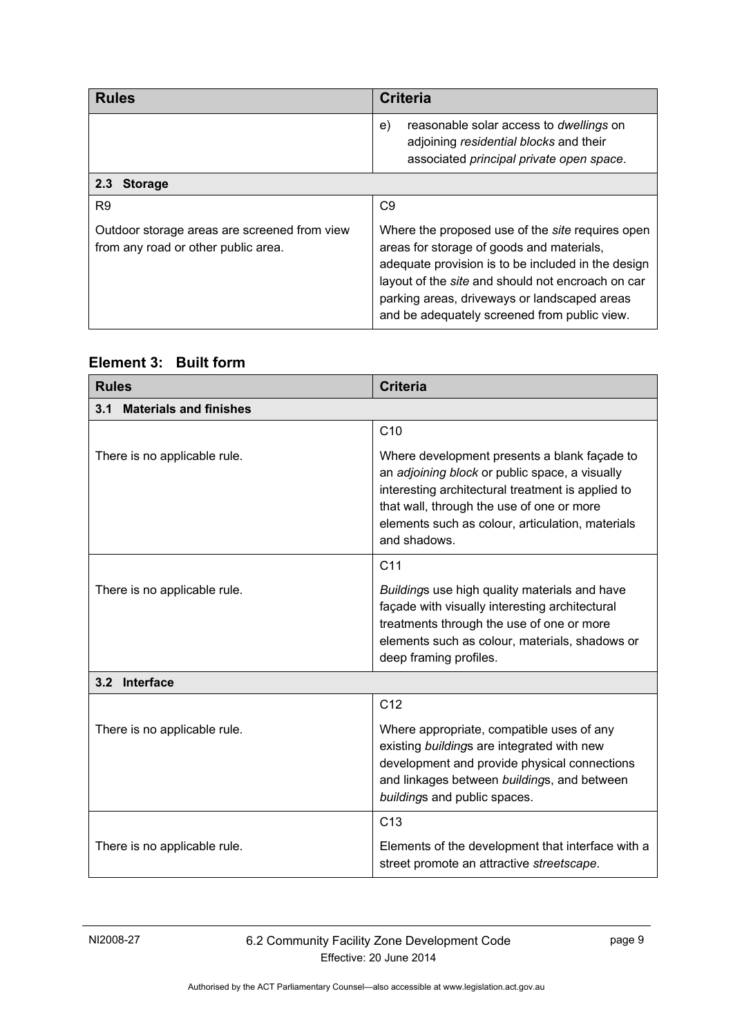<span id="page-10-0"></span>

| <b>Rules</b>                                                                        | <b>Criteria</b>                                                                                                                                                                                                                                                                                                 |  |
|-------------------------------------------------------------------------------------|-----------------------------------------------------------------------------------------------------------------------------------------------------------------------------------------------------------------------------------------------------------------------------------------------------------------|--|
|                                                                                     | reasonable solar access to dwellings on<br>e)<br>adjoining residential blocks and their<br>associated principal private open space.                                                                                                                                                                             |  |
| 2.3 Storage                                                                         |                                                                                                                                                                                                                                                                                                                 |  |
| R <sub>9</sub>                                                                      | C <sub>9</sub>                                                                                                                                                                                                                                                                                                  |  |
| Outdoor storage areas are screened from view<br>from any road or other public area. | Where the proposed use of the <i>site</i> requires open<br>areas for storage of goods and materials,<br>adequate provision is to be included in the design<br>layout of the site and should not encroach on car<br>parking areas, driveways or landscaped areas<br>and be adequately screened from public view. |  |

<span id="page-10-1"></span>

<span id="page-10-3"></span><span id="page-10-2"></span>

| <b>Rules</b>                         | <b>Criteria</b>                                                                                                                                                                                                                                                      |  |
|--------------------------------------|----------------------------------------------------------------------------------------------------------------------------------------------------------------------------------------------------------------------------------------------------------------------|--|
| <b>Materials and finishes</b><br>3.1 |                                                                                                                                                                                                                                                                      |  |
|                                      | C10                                                                                                                                                                                                                                                                  |  |
| There is no applicable rule.         | Where development presents a blank façade to<br>an adjoining block or public space, a visually<br>interesting architectural treatment is applied to<br>that wall, through the use of one or more<br>elements such as colour, articulation, materials<br>and shadows. |  |
|                                      | C <sub>11</sub>                                                                                                                                                                                                                                                      |  |
| There is no applicable rule.         | Buildings use high quality materials and have<br>façade with visually interesting architectural<br>treatments through the use of one or more<br>elements such as colour, materials, shadows or<br>deep framing profiles.                                             |  |
| 3.2 Interface                        |                                                                                                                                                                                                                                                                      |  |
|                                      | C <sub>12</sub>                                                                                                                                                                                                                                                      |  |
| There is no applicable rule.         | Where appropriate, compatible uses of any<br>existing buildings are integrated with new<br>development and provide physical connections<br>and linkages between buildings, and between<br>buildings and public spaces.                                               |  |
|                                      | C <sub>13</sub>                                                                                                                                                                                                                                                      |  |
| There is no applicable rule.         | Elements of the development that interface with a<br>street promote an attractive streetscape.                                                                                                                                                                       |  |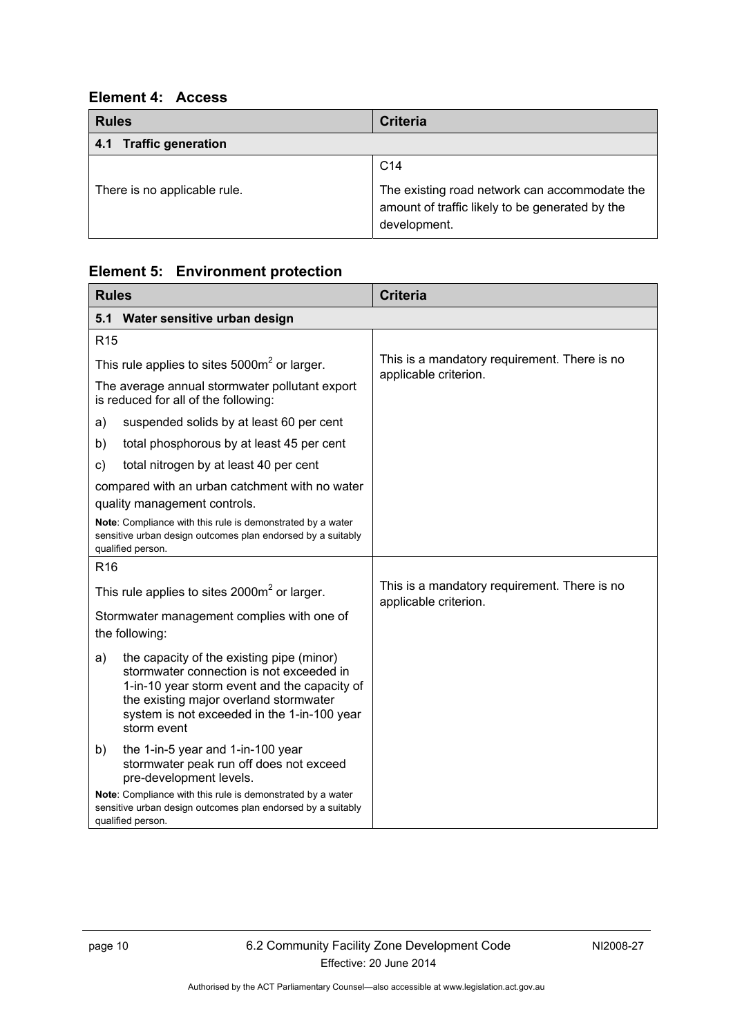### <span id="page-11-0"></span>**Element 4: Access**

<span id="page-11-1"></span>

| <b>Rules</b>                 | <b>Criteria</b>                                                                                                  |
|------------------------------|------------------------------------------------------------------------------------------------------------------|
| 4.1 Traffic generation       |                                                                                                                  |
|                              | C <sub>14</sub>                                                                                                  |
| There is no applicable rule. | The existing road network can accommodate the<br>amount of traffic likely to be generated by the<br>development. |

# <span id="page-11-2"></span>**Element 5: Environment protection**

<span id="page-11-3"></span>

| <b>Rules</b>                                                                                                                                                                                                                                        | <b>Criteria</b>                                                       |
|-----------------------------------------------------------------------------------------------------------------------------------------------------------------------------------------------------------------------------------------------------|-----------------------------------------------------------------------|
| Water sensitive urban design<br>5.1                                                                                                                                                                                                                 |                                                                       |
| R <sub>15</sub>                                                                                                                                                                                                                                     |                                                                       |
| This rule applies to sites $5000m^2$ or larger.                                                                                                                                                                                                     | This is a mandatory requirement. There is no                          |
| The average annual stormwater pollutant export<br>is reduced for all of the following:                                                                                                                                                              | applicable criterion.                                                 |
| suspended solids by at least 60 per cent<br>a)                                                                                                                                                                                                      |                                                                       |
| total phosphorous by at least 45 per cent<br>b)                                                                                                                                                                                                     |                                                                       |
| total nitrogen by at least 40 per cent<br>C)                                                                                                                                                                                                        |                                                                       |
| compared with an urban catchment with no water<br>quality management controls.                                                                                                                                                                      |                                                                       |
| Note: Compliance with this rule is demonstrated by a water<br>sensitive urban design outcomes plan endorsed by a suitably<br>qualified person.                                                                                                      |                                                                       |
| R <sub>16</sub>                                                                                                                                                                                                                                     |                                                                       |
| This rule applies to sites $2000m^2$ or larger.                                                                                                                                                                                                     | This is a mandatory requirement. There is no<br>applicable criterion. |
| Stormwater management complies with one of<br>the following:                                                                                                                                                                                        |                                                                       |
| the capacity of the existing pipe (minor)<br>a)<br>stormwater connection is not exceeded in<br>1-in-10 year storm event and the capacity of<br>the existing major overland stormwater<br>system is not exceeded in the 1-in-100 year<br>storm event |                                                                       |
| the 1-in-5 year and 1-in-100 year<br>b)<br>stormwater peak run off does not exceed<br>pre-development levels.                                                                                                                                       |                                                                       |
| Note: Compliance with this rule is demonstrated by a water<br>sensitive urban design outcomes plan endorsed by a suitably<br>qualified person.                                                                                                      |                                                                       |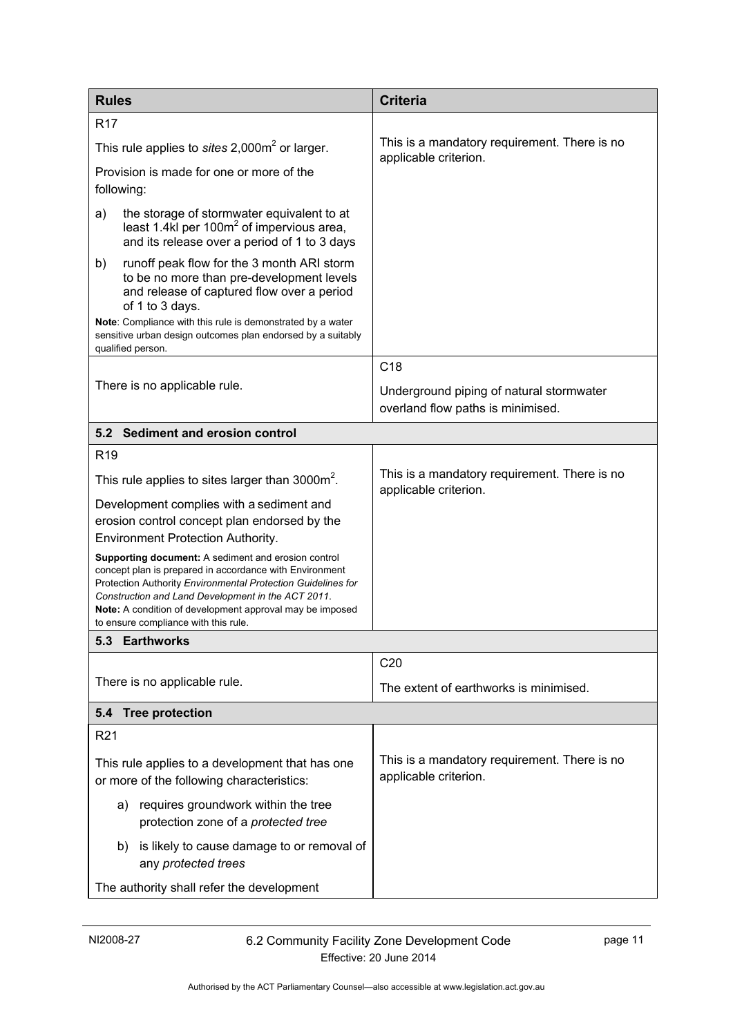<span id="page-12-2"></span><span id="page-12-1"></span><span id="page-12-0"></span>

| <b>Rules</b>                                                                                                                                                                                                                                                                                                                             | <b>Criteria</b>                                                               |
|------------------------------------------------------------------------------------------------------------------------------------------------------------------------------------------------------------------------------------------------------------------------------------------------------------------------------------------|-------------------------------------------------------------------------------|
| R <sub>17</sub>                                                                                                                                                                                                                                                                                                                          |                                                                               |
| This rule applies to sites $2,000m^2$ or larger.                                                                                                                                                                                                                                                                                         | This is a mandatory requirement. There is no<br>applicable criterion.         |
| Provision is made for one or more of the<br>following:                                                                                                                                                                                                                                                                                   |                                                                               |
| the storage of stormwater equivalent to at<br>a)<br>least 1.4kl per 100m <sup>2</sup> of impervious area,<br>and its release over a period of 1 to 3 days                                                                                                                                                                                |                                                                               |
| runoff peak flow for the 3 month ARI storm<br>b)<br>to be no more than pre-development levels<br>and release of captured flow over a period<br>of 1 to 3 days.                                                                                                                                                                           |                                                                               |
| Note: Compliance with this rule is demonstrated by a water<br>sensitive urban design outcomes plan endorsed by a suitably<br>qualified person.                                                                                                                                                                                           |                                                                               |
|                                                                                                                                                                                                                                                                                                                                          | C <sub>18</sub>                                                               |
| There is no applicable rule.                                                                                                                                                                                                                                                                                                             | Underground piping of natural stormwater<br>overland flow paths is minimised. |
| 5.2 Sediment and erosion control                                                                                                                                                                                                                                                                                                         |                                                                               |
| R <sub>19</sub>                                                                                                                                                                                                                                                                                                                          |                                                                               |
| This rule applies to sites larger than 3000m <sup>2</sup> .                                                                                                                                                                                                                                                                              | This is a mandatory requirement. There is no<br>applicable criterion.         |
| Development complies with a sediment and                                                                                                                                                                                                                                                                                                 |                                                                               |
| erosion control concept plan endorsed by the<br>Environment Protection Authority.                                                                                                                                                                                                                                                        |                                                                               |
| Supporting document: A sediment and erosion control<br>concept plan is prepared in accordance with Environment<br>Protection Authority Environmental Protection Guidelines for<br>Construction and Land Development in the ACT 2011.<br>Note: A condition of development approval may be imposed<br>to ensure compliance with this rule. |                                                                               |
| 5.3 Earthworks                                                                                                                                                                                                                                                                                                                           |                                                                               |
|                                                                                                                                                                                                                                                                                                                                          | C20                                                                           |
| There is no applicable rule.                                                                                                                                                                                                                                                                                                             | The extent of earthworks is minimised.                                        |
| 5.4 Tree protection                                                                                                                                                                                                                                                                                                                      |                                                                               |
| R <sub>21</sub>                                                                                                                                                                                                                                                                                                                          |                                                                               |
| This rule applies to a development that has one<br>or more of the following characteristics:                                                                                                                                                                                                                                             | This is a mandatory requirement. There is no<br>applicable criterion.         |
| a) requires groundwork within the tree<br>protection zone of a protected tree                                                                                                                                                                                                                                                            |                                                                               |
| is likely to cause damage to or removal of<br>b)<br>any protected trees                                                                                                                                                                                                                                                                  |                                                                               |
| The authority shall refer the development                                                                                                                                                                                                                                                                                                |                                                                               |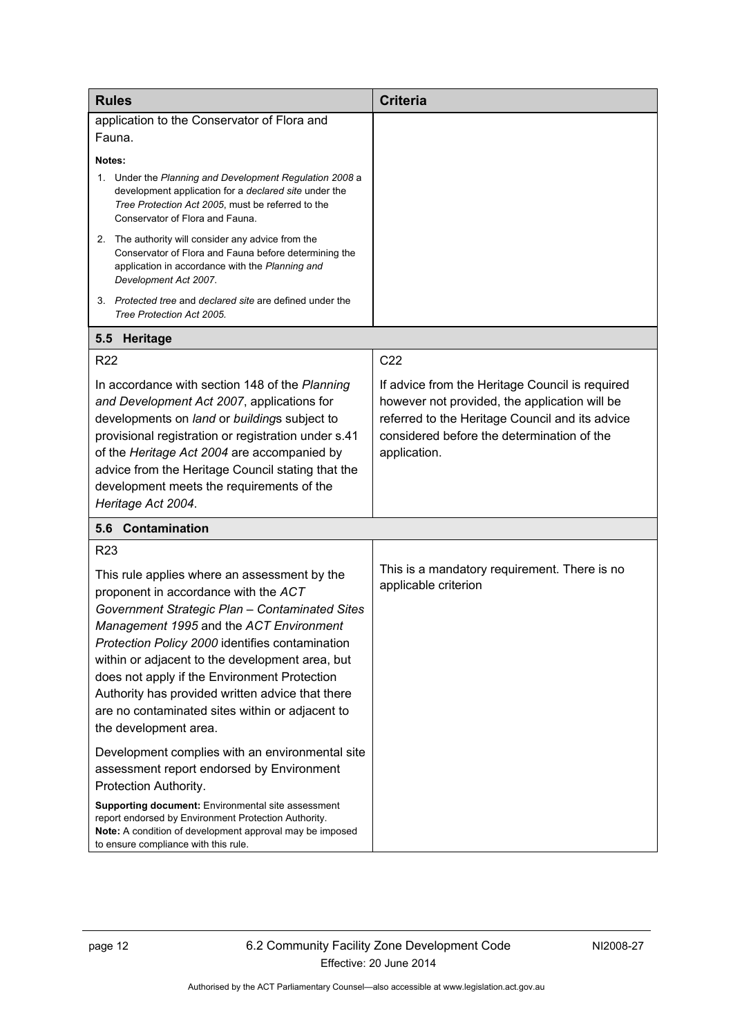<span id="page-13-1"></span><span id="page-13-0"></span>

| <b>Rules</b>                                                                                                                                                                                                                                                                                                                                                                                                                                                            | <b>Criteria</b>                                                                                                                                                                                                   |
|-------------------------------------------------------------------------------------------------------------------------------------------------------------------------------------------------------------------------------------------------------------------------------------------------------------------------------------------------------------------------------------------------------------------------------------------------------------------------|-------------------------------------------------------------------------------------------------------------------------------------------------------------------------------------------------------------------|
| application to the Conservator of Flora and                                                                                                                                                                                                                                                                                                                                                                                                                             |                                                                                                                                                                                                                   |
| Fauna.                                                                                                                                                                                                                                                                                                                                                                                                                                                                  |                                                                                                                                                                                                                   |
| Notes:                                                                                                                                                                                                                                                                                                                                                                                                                                                                  |                                                                                                                                                                                                                   |
| 1. Under the Planning and Development Regulation 2008 a<br>development application for a declared site under the<br>Tree Protection Act 2005, must be referred to the<br>Conservator of Flora and Fauna.                                                                                                                                                                                                                                                                |                                                                                                                                                                                                                   |
| 2. The authority will consider any advice from the<br>Conservator of Flora and Fauna before determining the<br>application in accordance with the Planning and<br>Development Act 2007.                                                                                                                                                                                                                                                                                 |                                                                                                                                                                                                                   |
| 3. Protected tree and declared site are defined under the<br>Tree Protection Act 2005.                                                                                                                                                                                                                                                                                                                                                                                  |                                                                                                                                                                                                                   |
| <b>Heritage</b><br>5.5                                                                                                                                                                                                                                                                                                                                                                                                                                                  |                                                                                                                                                                                                                   |
| <b>R22</b>                                                                                                                                                                                                                                                                                                                                                                                                                                                              | C22                                                                                                                                                                                                               |
| In accordance with section 148 of the Planning<br>and Development Act 2007, applications for<br>developments on land or buildings subject to<br>provisional registration or registration under s.41<br>of the Heritage Act 2004 are accompanied by<br>advice from the Heritage Council stating that the<br>development meets the requirements of the<br>Heritage Act 2004.                                                                                              | If advice from the Heritage Council is required<br>however not provided, the application will be<br>referred to the Heritage Council and its advice<br>considered before the determination of the<br>application. |
| 5.6 Contamination                                                                                                                                                                                                                                                                                                                                                                                                                                                       |                                                                                                                                                                                                                   |
| R <sub>23</sub>                                                                                                                                                                                                                                                                                                                                                                                                                                                         |                                                                                                                                                                                                                   |
| This rule applies where an assessment by the<br>proponent in accordance with the ACT<br>Government Strategic Plan - Contaminated Sites<br>Management 1995 and the ACT Environment<br>Protection Policy 2000 identifies contamination<br>within or adjacent to the development area, but<br>does not apply if the Environment Protection<br>Authority has provided written advice that there<br>are no contaminated sites within or adjacent to<br>the development area. | This is a mandatory requirement. There is no<br>applicable criterion                                                                                                                                              |
| Development complies with an environmental site<br>assessment report endorsed by Environment<br>Protection Authority.                                                                                                                                                                                                                                                                                                                                                   |                                                                                                                                                                                                                   |
| Supporting document: Environmental site assessment<br>report endorsed by Environment Protection Authority.<br>Note: A condition of development approval may be imposed<br>to ensure compliance with this rule.                                                                                                                                                                                                                                                          |                                                                                                                                                                                                                   |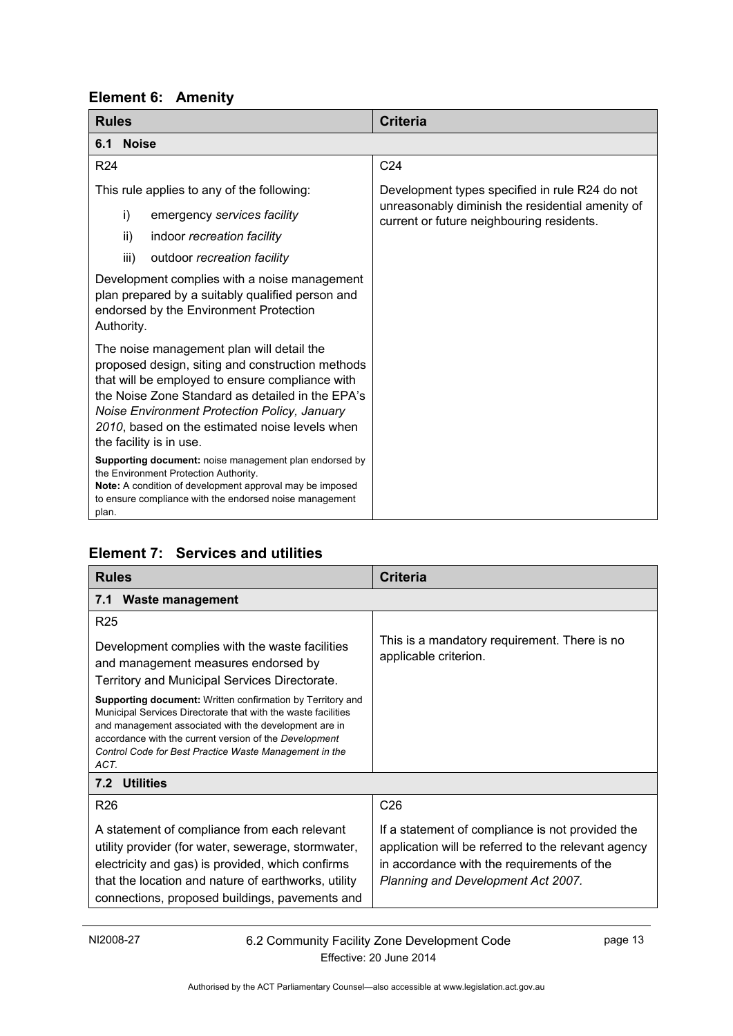<span id="page-14-0"></span>

<span id="page-14-1"></span>

| <b>Rules</b>                                                                                                                                                                                                                                                                                                                      | <b>Criteria</b>                                                                               |
|-----------------------------------------------------------------------------------------------------------------------------------------------------------------------------------------------------------------------------------------------------------------------------------------------------------------------------------|-----------------------------------------------------------------------------------------------|
| <b>Noise</b><br>6.1                                                                                                                                                                                                                                                                                                               |                                                                                               |
| R <sub>24</sub>                                                                                                                                                                                                                                                                                                                   | C <sub>24</sub>                                                                               |
| This rule applies to any of the following:                                                                                                                                                                                                                                                                                        | Development types specified in rule R24 do not                                                |
| i)<br>emergency services facility                                                                                                                                                                                                                                                                                                 | unreasonably diminish the residential amenity of<br>current or future neighbouring residents. |
| ii)<br>indoor recreation facility                                                                                                                                                                                                                                                                                                 |                                                                                               |
| iii)<br>outdoor recreation facility                                                                                                                                                                                                                                                                                               |                                                                                               |
| Development complies with a noise management<br>plan prepared by a suitably qualified person and<br>endorsed by the Environment Protection<br>Authority.                                                                                                                                                                          |                                                                                               |
| The noise management plan will detail the<br>proposed design, siting and construction methods<br>that will be employed to ensure compliance with<br>the Noise Zone Standard as detailed in the EPA's<br>Noise Environment Protection Policy, January<br>2010, based on the estimated noise levels when<br>the facility is in use. |                                                                                               |
| Supporting document: noise management plan endorsed by<br>the Environment Protection Authority.<br>Note: A condition of development approval may be imposed<br>to ensure compliance with the endorsed noise management<br>plan.                                                                                                   |                                                                                               |

# <span id="page-14-2"></span>**Element 7: Services and utilities**

<span id="page-14-4"></span><span id="page-14-3"></span>

| <b>Rules</b>                                                                                                                                                                                                                                                                                                            | <b>Criteria</b>                                                                                                                                                                             |  |
|-------------------------------------------------------------------------------------------------------------------------------------------------------------------------------------------------------------------------------------------------------------------------------------------------------------------------|---------------------------------------------------------------------------------------------------------------------------------------------------------------------------------------------|--|
| Waste management<br>7.1                                                                                                                                                                                                                                                                                                 |                                                                                                                                                                                             |  |
| R <sub>25</sub>                                                                                                                                                                                                                                                                                                         |                                                                                                                                                                                             |  |
| Development complies with the waste facilities<br>and management measures endorsed by<br>Territory and Municipal Services Directorate.                                                                                                                                                                                  | This is a mandatory requirement. There is no<br>applicable criterion.                                                                                                                       |  |
| <b>Supporting document:</b> Written confirmation by Territory and<br>Municipal Services Directorate that with the waste facilities<br>and management associated with the development are in<br>accordance with the current version of the Development<br>Control Code for Best Practice Waste Management in the<br>ACT. |                                                                                                                                                                                             |  |
| 7.2 Utilities                                                                                                                                                                                                                                                                                                           |                                                                                                                                                                                             |  |
| R <sub>26</sub>                                                                                                                                                                                                                                                                                                         | C <sub>26</sub>                                                                                                                                                                             |  |
| A statement of compliance from each relevant<br>utility provider (for water, sewerage, stormwater,<br>electricity and gas) is provided, which confirms<br>that the location and nature of earthworks, utility<br>connections, proposed buildings, pavements and                                                         | If a statement of compliance is not provided the<br>application will be referred to the relevant agency<br>in accordance with the requirements of the<br>Planning and Development Act 2007. |  |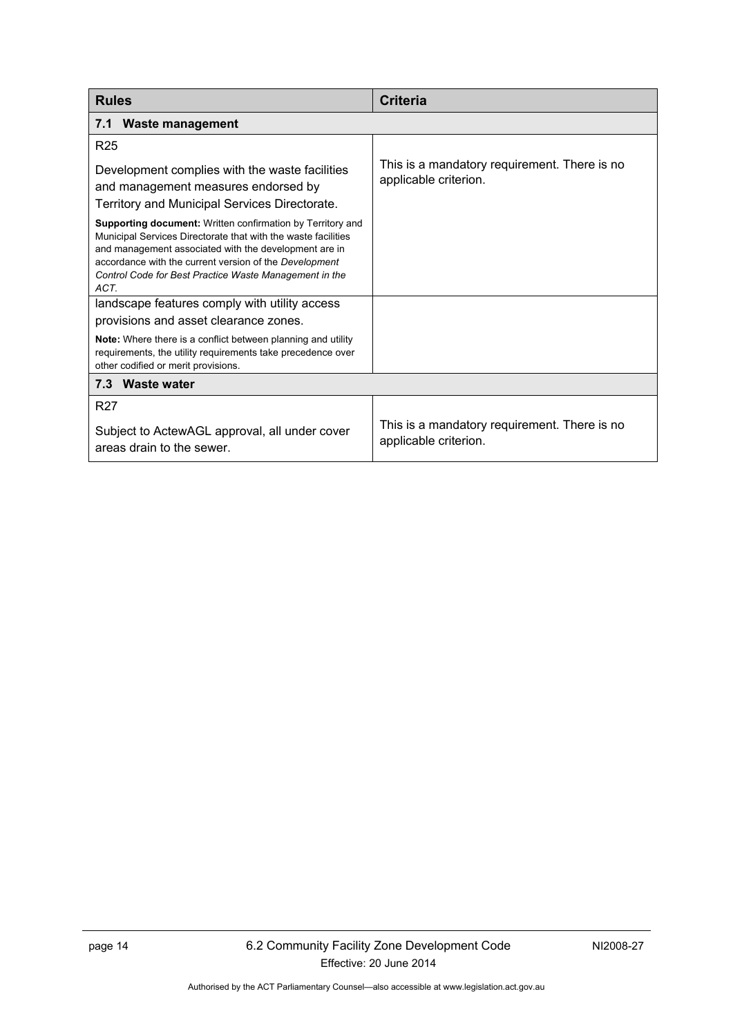<span id="page-15-0"></span>

| <b>Rules</b>                                                                                                                                                                                                                                                                                                            | <b>Criteria</b>                                                       |
|-------------------------------------------------------------------------------------------------------------------------------------------------------------------------------------------------------------------------------------------------------------------------------------------------------------------------|-----------------------------------------------------------------------|
| 7.1 Waste management                                                                                                                                                                                                                                                                                                    |                                                                       |
| <b>R25</b>                                                                                                                                                                                                                                                                                                              |                                                                       |
| Development complies with the waste facilities<br>and management measures endorsed by<br>Territory and Municipal Services Directorate.                                                                                                                                                                                  | This is a mandatory requirement. There is no<br>applicable criterion. |
| <b>Supporting document:</b> Written confirmation by Territory and<br>Municipal Services Directorate that with the waste facilities<br>and management associated with the development are in<br>accordance with the current version of the Development<br>Control Code for Best Practice Waste Management in the<br>ACT. |                                                                       |
| landscape features comply with utility access                                                                                                                                                                                                                                                                           |                                                                       |
| provisions and asset clearance zones.                                                                                                                                                                                                                                                                                   |                                                                       |
| Note: Where there is a conflict between planning and utility<br>requirements, the utility requirements take precedence over<br>other codified or merit provisions.                                                                                                                                                      |                                                                       |
| 7.3 Waste water                                                                                                                                                                                                                                                                                                         |                                                                       |
| R <sub>27</sub>                                                                                                                                                                                                                                                                                                         |                                                                       |
| Subject to ActewAGL approval, all under cover<br>areas drain to the sewer.                                                                                                                                                                                                                                              | This is a mandatory requirement. There is no<br>applicable criterion. |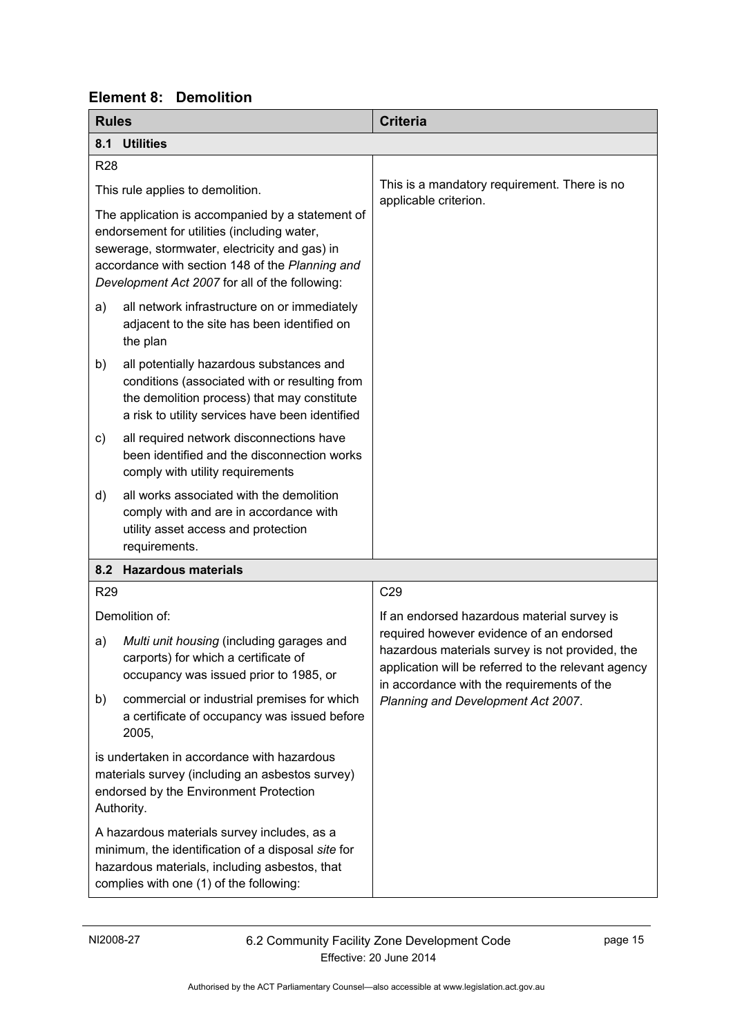<span id="page-16-2"></span><span id="page-16-1"></span>

| <b>Rules</b> |                                                                                                                                                                                                                                                       | <b>Criteria</b>                                                                                                                                                                                  |  |
|--------------|-------------------------------------------------------------------------------------------------------------------------------------------------------------------------------------------------------------------------------------------------------|--------------------------------------------------------------------------------------------------------------------------------------------------------------------------------------------------|--|
|              | 8.1 Utilities                                                                                                                                                                                                                                         |                                                                                                                                                                                                  |  |
| <b>R28</b>   |                                                                                                                                                                                                                                                       |                                                                                                                                                                                                  |  |
|              | This rule applies to demolition.                                                                                                                                                                                                                      | This is a mandatory requirement. There is no<br>applicable criterion.                                                                                                                            |  |
|              | The application is accompanied by a statement of<br>endorsement for utilities (including water,<br>sewerage, stormwater, electricity and gas) in<br>accordance with section 148 of the Planning and<br>Development Act 2007 for all of the following: |                                                                                                                                                                                                  |  |
| a)           | all network infrastructure on or immediately<br>adjacent to the site has been identified on<br>the plan                                                                                                                                               |                                                                                                                                                                                                  |  |
| b)           | all potentially hazardous substances and<br>conditions (associated with or resulting from<br>the demolition process) that may constitute<br>a risk to utility services have been identified                                                           |                                                                                                                                                                                                  |  |
| C)           | all required network disconnections have<br>been identified and the disconnection works<br>comply with utility requirements                                                                                                                           |                                                                                                                                                                                                  |  |
| d)           | all works associated with the demolition<br>comply with and are in accordance with<br>utility asset access and protection<br>requirements.                                                                                                            |                                                                                                                                                                                                  |  |
|              | 8.2 Hazardous materials                                                                                                                                                                                                                               |                                                                                                                                                                                                  |  |
| <b>R29</b>   |                                                                                                                                                                                                                                                       | C <sub>29</sub>                                                                                                                                                                                  |  |
|              | Demolition of:                                                                                                                                                                                                                                        | If an endorsed hazardous material survey is                                                                                                                                                      |  |
| a)           | Multi unit housing (including garages and<br>carports) for which a certificate of<br>occupancy was issued prior to 1985, or                                                                                                                           | required however evidence of an endorsed<br>hazardous materials survey is not provided, the<br>application will be referred to the relevant agency<br>in accordance with the requirements of the |  |
| b)           | commercial or industrial premises for which<br>a certificate of occupancy was issued before<br>2005,                                                                                                                                                  | Planning and Development Act 2007.                                                                                                                                                               |  |
|              | is undertaken in accordance with hazardous<br>materials survey (including an asbestos survey)<br>endorsed by the Environment Protection<br>Authority.                                                                                                 |                                                                                                                                                                                                  |  |
|              | A hazardous materials survey includes, as a<br>minimum, the identification of a disposal site for<br>hazardous materials, including asbestos, that<br>complies with one (1) of the following:                                                         |                                                                                                                                                                                                  |  |

# <span id="page-16-0"></span>**Element 8: Demolition**